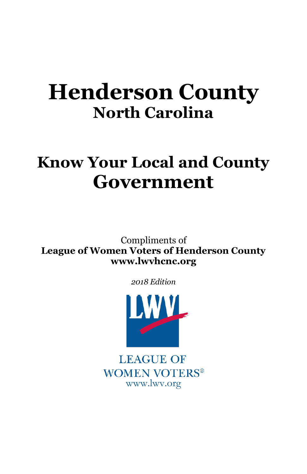# **Henderson County North Carolina**

# **Know Your Local and County Government**

Compliments of **League of Women Voters of Henderson County www.lwvhcnc.org**

*2018 Edition*



**LEAGUE OF WOMEN VOTERS®** www.lwv.org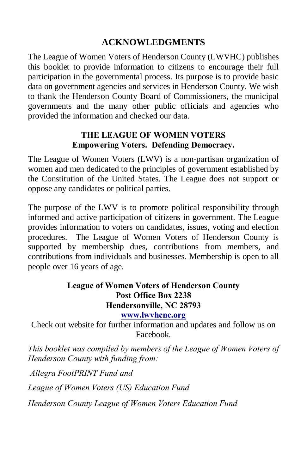#### **ACKNOWLEDGMENTS**

The League of Women Voters of Henderson County (LWVHC) publishes this booklet to provide information to citizens to encourage their full participation in the governmental process. Its purpose is to provide basic data on government agencies and services in Henderson County. We wish to thank the Henderson County Board of Commissioners, the municipal governments and the many other public officials and agencies who provided the information and checked our data.

#### **THE LEAGUE OF WOMEN VOTERS Empowering Voters. Defending Democracy.**

The League of Women Voters (LWV) is a non-partisan organization of women and men dedicated to the principles of government established by the Constitution of the United States. The League does not support or oppose any candidates or political parties.

The purpose of the LWV is to promote political responsibility through informed and active participation of citizens in government. The League provides information to voters on candidates, issues, voting and election procedures. The League of Women Voters of Henderson County is supported by membership dues, contributions from members, and contributions from individuals and businesses. Membership is open to all people over 16 years of age.

#### **League of Women Voters of Henderson County Post Office Box 2238 Hendersonville, NC 28793**

#### **[www.lwvhcnc.org](http://www.lwvhcnc.org/)**

Check out website for further information and updates and follow us on Facebook.

*This booklet was compiled by members of the League of Women Voters of Henderson County with funding from:*

*Allegra FootPRINT Fund and* 

*League of Women Voters (US) Education Fund*

*Henderson County League of Women Voters Education Fund*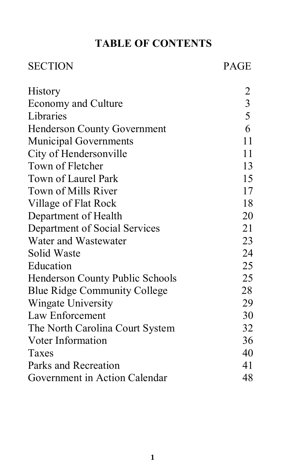### **TABLE OF CONTENTS**

## SECTION PAGE

| <b>History</b>                         | $\overline{c}$          |
|----------------------------------------|-------------------------|
| <b>Economy and Culture</b>             | $\overline{\mathbf{3}}$ |
| Libraries                              | 5                       |
| <b>Henderson County Government</b>     | 6                       |
| <b>Municipal Governments</b>           | 11                      |
| City of Hendersonville                 | 11                      |
| Town of Fletcher                       | 13                      |
| Town of Laurel Park                    | 15                      |
| Town of Mills River                    | 17                      |
| Village of Flat Rock                   | 18                      |
| Department of Health                   | 20                      |
| Department of Social Services          | 21                      |
| Water and Wastewater                   | 23                      |
| Solid Waste                            | 24                      |
| Education                              | 25                      |
| <b>Henderson County Public Schools</b> | 25                      |
| <b>Blue Ridge Community College</b>    | 28                      |
| Wingate University                     | 29                      |
| Law Enforcement                        | 30                      |
| The North Carolina Court System        | 32                      |
| Voter Information                      | 36                      |
| Taxes                                  | 40                      |
| Parks and Recreation                   | 41                      |
| Government in Action Calendar          | 48                      |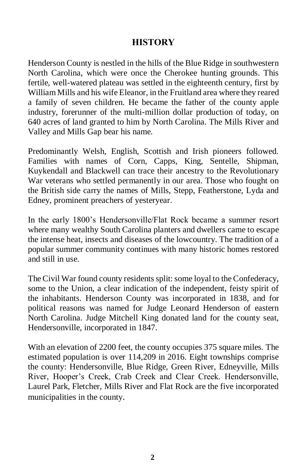#### **HISTORY**

Henderson County is nestled in the hills of the Blue Ridge in southwestern North Carolina, which were once the Cherokee hunting grounds. This fertile, well-watered plateau was settled in the eighteenth century, first by William Mills and his wife Eleanor, in the Fruitland area where they reared a family of seven children. He became the father of the county apple industry, forerunner of the multi-million dollar production of today, on 640 acres of land granted to him by North Carolina. The Mills River and Valley and Mills Gap bear his name.

Predominantly Welsh, English, Scottish and Irish pioneers followed. Families with names of Corn, Capps, King, Sentelle, Shipman, Kuykendall and Blackwell can trace their ancestry to the Revolutionary War veterans who settled permanently in our area. Those who fought on the British side carry the names of Mills, Stepp, Featherstone, Lyda and Edney, prominent preachers of yesteryear.

In the early 1800's Hendersonville/Flat Rock became a summer resort where many wealthy South Carolina planters and dwellers came to escape the intense heat, insects and diseases of the lowcountry. The tradition of a popular summer community continues with many historic homes restored and still in use.

The Civil War found county residents split: some loyal to the Confederacy, some to the Union, a clear indication of the independent, feisty spirit of the inhabitants. Henderson County was incorporated in 1838, and for political reasons was named for Judge Leonard Henderson of eastern North Carolina. Judge Mitchell King donated land for the county seat, Hendersonville, incorporated in 1847.

With an elevation of 2200 feet, the county occupies 375 square miles. The estimated population is over 114,209 in 2016. Eight townships comprise the county: Hendersonville, Blue Ridge, Green River, Edneyville, Mills River, Hooper's Creek, Crab Creek and Clear Creek. Hendersonville, Laurel Park, Fletcher, Mills River and Flat Rock are the five incorporated municipalities in the county.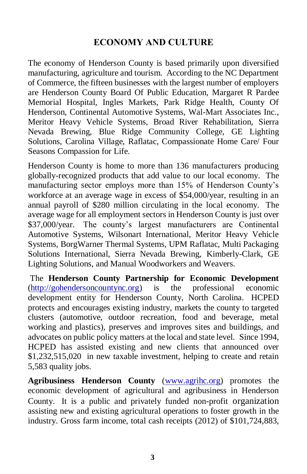#### **ECONOMY AND CULTURE**

The economy of Henderson County is based primarily upon diversified manufacturing, agriculture and tourism. According to the NC Department of Commerce, the fifteen businesses with the largest number of employers are Henderson County Board Of Public Education, Margaret R Pardee Memorial Hospital, Ingles Markets, Park Ridge Health, County Of Henderson, Continental Automotive Systems, Wal-Mart Associates Inc., Meritor Heavy Vehicle Systems, Broad River Rehabilitation, Sierra Nevada Brewing, Blue Ridge Community College, GE Lighting Solutions, Carolina Village, Raflatac, Compassionate Home Care/ Four Seasons Compassion for Life.

Henderson County is home to more than 136 manufacturers producing globally-recognized products that add value to our local economy. The manufacturing sector employs more than 15% of Henderson County's workforce at an average wage in excess of \$54,000/year, resulting in an annual payroll of \$280 million circulating in the local economy. The average wage for all employment sectors in Henderson County is just over \$37,000/year. The county's largest manufacturers are Continental Automotive Systems, Wilsonart International, Meritor Heavy Vehicle Systems, BorgWarner Thermal Systems, UPM Raflatac, Multi Packaging Solutions International, Sierra Nevada Brewing, Kimberly-Clark, GE Lighting Solutions, and Manual Woodworkers and Weavers.

The **Henderson County Partnership for Economic Development**  [\(http://gohendersoncountync.org\)](http://gohendersoncountync.org/) is the professional economic development entity for Henderson County, North Carolina. HCPED protects and encourages existing industry, markets the county to targeted clusters (automotive, outdoor recreation, food and beverage, metal working and plastics), preserves and improves sites and buildings, and advocates on public policy matters at the local and state level. Since 1994, HCPED has assisted existing and new clients that announced over \$1,232,515,020 in new taxable investment, helping to create and retain 5,583 quality jobs.

**Agribusiness Henderson County** [\(www.agrihc.org\)](http://www.agrihc.org/) promotes the economic development of agricultural and agribusiness in Henderson County. It is a public and privately funded non-profit organization assisting new and existing agricultural operations to foster growth in the industry. Gross farm income, total cash receipts (2012) of \$101,724,883,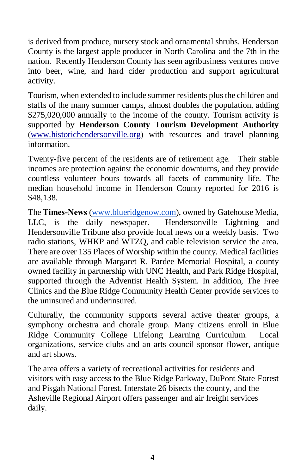is derived from produce, nursery stock and ornamental shrubs. Henderson County is the largest apple producer in North Carolina and the 7th in the nation. Recently Henderson County has seen agribusiness ventures move into beer, wine, and hard cider production and support agricultural activity.

Tourism, when extended to include summer residents plus the children and staffs of the many summer camps, almost doubles the population, adding \$275,020,000 annually to the income of the county. Tourism activity is supported by **Henderson County Tourism Development Authority** [\(www.historichendersonville.org\)](http://www.historichendersonville.org/) with resources and travel planning information.

Twenty-five percent of the residents are of retirement age. Their stable incomes are protection against the economic downturns, and they provide countless volunteer hours towards all facets of community life. The median household income in Henderson County reported for 2016 is \$48,138.

The **Times-News** [\(www.blueridgenow.com\)](http://www.blueridgenow.com/), owned by Gatehouse Media, LLC, is the daily newspaper. Hendersonville Lightning and Hendersonville Tribune also provide local news on a weekly basis. Two radio stations, WHKP and WTZQ, and cable television service the area. There are over 135 Places of Worship within the county. Medical facilities are available through Margaret R. Pardee Memorial Hospital, a county owned facility in partnership with UNC Health, and Park Ridge Hospital, supported through the Adventist Health System. In addition, The Free Clinics and the Blue Ridge Community Health Center provide services to the uninsured and underinsured.

Culturally, the community supports several active theater groups, a symphony orchestra and chorale group. Many citizens enroll in Blue Ridge Community College Lifelong Learning Curriculum. Local organizations, service clubs and an arts council sponsor flower, antique and art shows.

The area offers a variety of recreational activities for residents and visitors with easy access to the Blue Ridge Parkway, DuPont State Forest and Pisgah National Forest. Interstate 26 bisects the county, and the Asheville Regional Airport offers passenger and air freight services daily.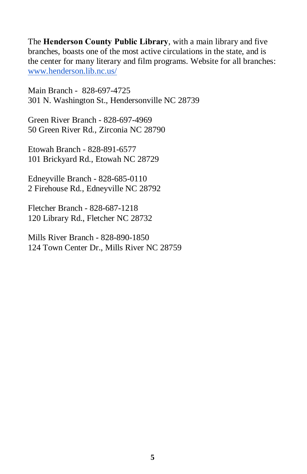The **Henderson County Public Library**, with a main library and five branches, boasts one of the most active circulations in the state, and is the center for many literary and film programs. Website for all branches: [www.henderson.lib.nc.us/](http://www.henderson.lib.nc.us/)

Main Branch - 828-697-4725 [301 N. Washington St., Hendersonville NC 28739](https://maps.google.com/?q=301+N.+Washington+St.,+Hendersonville+NC+28739828&entry=gmail&source=g)

Green River Branch - 828-697-4969 [50 Green River Rd., Zirconia NC 28790](https://maps.google.com/?q=50+Green+River+Rd.,+Zirconia+NC+28790&entry=gmail&source=g)

Etowah Branch - 828-891-6577 [101 Brickyard Rd., Etowah NC 28729](https://maps.google.com/?q=101+Brickyard+Rd.,+Etowah+NC+28729828&entry=gmail&source=g)

Edneyville Branch - 828-685-0110 [2 Firehouse Rd., Edneyville NC 28792](https://maps.google.com/?q=2+Firehouse+Rd.,+Edneyville+NC+28792&entry=gmail&source=g)

Fletcher Branch - 828-687-1218 [120 Library Rd., Fletcher NC 28732](https://maps.google.com/?q=120+Library+Rd.,+Fletcher+NC+28732&entry=gmail&source=g)

Mills River Branch - 828-890-1850 [124 Town Center Dr., Mills River NC 28759](https://maps.google.com/?q=124+Town+Center+Dr.,+Mills+River+NC+28759&entry=gmail&source=g)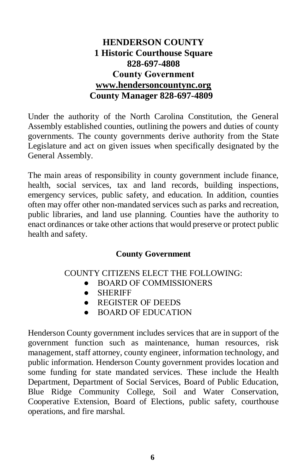#### **HENDERSON COUNTY 1 Historic Courthouse Square 828-697-4808 County Government [www.hendersoncountync.org](http://www.hendersoncountync.org/) County Manager 828-697-4809**

Under the authority of the North Carolina Constitution, the General Assembly established counties, outlining the powers and duties of county governments. The county governments derive authority from the State Legislature and act on given issues when specifically designated by the General Assembly.

The main areas of responsibility in county government include finance, health, social services, tax and land records, building inspections, emergency services, public safety, and education. In addition, counties often may offer other non-mandated services such as parks and recreation, public libraries, and land use planning. Counties have the authority to enact ordinances or take other actions that would preserve or protect public health and safety.

#### **County Government**

#### COUNTY CITIZENS ELECT THE FOLLOWING:

- BOARD OF COMMISSIONERS
- SHERIFF
- REGISTER OF DEEDS
- BOARD OF EDUCATION

Henderson County government includes services that are in support of the government function such as maintenance, human resources, risk management, staff attorney, county engineer, information technology, and public information. Henderson County government provides location and some funding for state mandated services. These include the Health Department, Department of Social Services, Board of Public Education, Blue Ridge Community College, Soil and Water Conservation, Cooperative Extension, Board of Elections, public safety, courthouse operations, and fire marshal.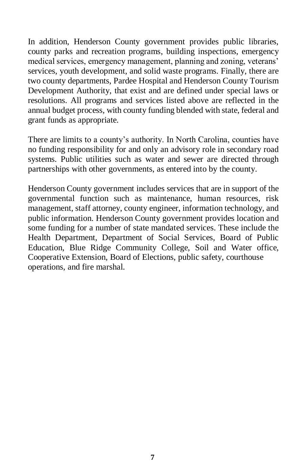In addition, Henderson County government provides public libraries, county parks and recreation programs, building inspections, emergency medical services, emergency management, planning and zoning, veterans' services, youth development, and solid waste programs. Finally, there are two county departments, Pardee Hospital and Henderson County Tourism Development Authority, that exist and are defined under special laws or resolutions. All programs and services listed above are reflected in the annual budget process, with county funding blended with state, federal and grant funds as appropriate.

There are limits to a county's authority. In North Carolina, counties have no funding responsibility for and only an advisory role in secondary road systems. Public utilities such as water and sewer are directed through partnerships with other governments, as entered into by the county.

Henderson County government includes services that are in support of the governmental function such as maintenance, human resources, risk management, staff attorney, county engineer, information technology, and public information. Henderson County government provides location and some funding for a number of state mandated services. These include the Health Department, Department of Social Services, Board of Public Education, Blue Ridge Community College, Soil and Water office, Cooperative Extension, Board of Elections, public safety, courthouse operations, and fire marshal.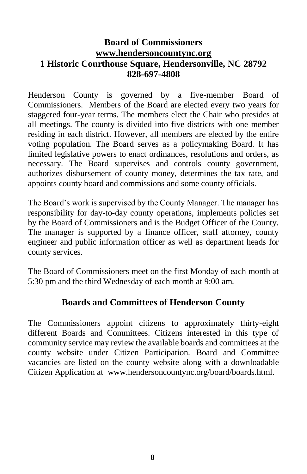#### **Board of Commissioners [www.hendersoncountync.org](http://www.hendersoncountync.org/) 1 Historic Courthouse Square, Hendersonville, NC 28792 828-697-4808**

Henderson County is governed by a five-member Board of Commissioners. Members of the Board are elected every two years for staggered four-year terms. The members elect the Chair who presides at all meetings. The county is divided into five districts with one member residing in each district. However, all members are elected by the entire voting population. The Board serves as a policymaking Board. It has limited legislative powers to enact ordinances, resolutions and orders, as necessary. The Board supervises and controls county government, authorizes disbursement of county money, determines the tax rate, and appoints county board and commissions and some county officials.

The Board's work is supervised by the County Manager. The manager has responsibility for day-to-day county operations, implements policies set by the Board of Commissioners and is the Budget Officer of the County. The manager is supported by a finance officer, staff attorney, county engineer and public information officer as well as department heads for county services.

The Board of Commissioners meet on the first Monday of each month at 5:30 pm and the third Wednesday of each month at 9:00 am.

#### **Boards and Committees of Henderson County**

The Commissioners appoint citizens to approximately thirty-eight different Boards and Committees. Citizens interested in this type of community service may review the available boards and committees at the county website under Citizen Participation. Board and Committee vacancies are listed on the county website along with a downloadable Citizen Application at www.hendersoncountync.org/board/boards.html.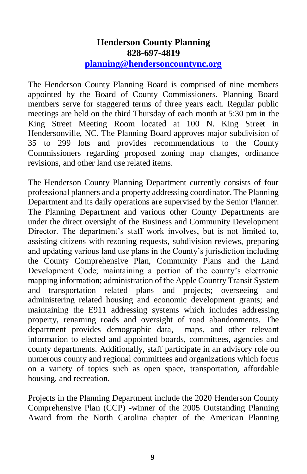#### **Henderson County Planning 828-697-4819 [planning@hendersoncountync.org](mailto:planning@hendersoncountync.org)**

The Henderson County Planning Board is comprised of nine members appointed by the Board of County Commissioners. Planning Board members serve for staggered terms of three years each. Regular public meetings are held on the third Thursday of each month at 5:30 pm in the King Street Meeting Room located at 100 N. King Street in Hendersonville, NC. The Planning Board approves major subdivision of 35 to 299 lots and provides recommendations to the County Commissioners regarding proposed zoning map changes, ordinance revisions, and other land use related items.

The Henderson County Planning Department currently consists of four professional planners and a property addressing coordinator. The Planning Department and its daily operations are supervised by the Senior Planner. The Planning Department and various other County Departments are under the direct oversight of the Business and Community Development Director. The department's staff work involves, but is not limited to, assisting citizens with rezoning requests, subdivision reviews, preparing and updating various land use plans in the County's jurisdiction including the County Comprehensive Plan, Community Plans and the Land Development Code; maintaining a portion of the county's electronic mapping information; administration of the Apple Country Transit System and transportation related plans and projects; overseeing and administering related housing and economic development grants; and maintaining the E911 addressing systems which includes addressing property, renaming roads and oversight of road abandonments. The department provides demographic data, maps, and other relevant information to elected and appointed boards, committees, agencies and county departments. Additionally, staff participate in an advisory role on numerous county and regional committees and organizations which focus on a variety of topics such as open space, transportation, affordable housing, and recreation.

Projects in the Planning Department include the 2020 Henderson County Comprehensive Plan (CCP) -winner of the 2005 Outstanding Planning Award from the North Carolina chapter of the American Planning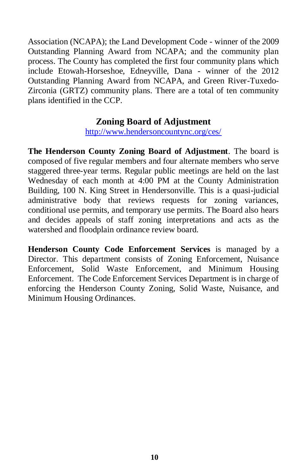Association (NCAPA); the Land Development Code - winner of the 2009 Outstanding Planning Award from NCAPA; and the community plan process. The County has completed the first four community plans which include Etowah-Horseshoe, Edneyville, Dana - winner of the 2012 Outstanding Planning Award from NCAPA, and Green River-Tuxedo-Zirconia (GRTZ) community plans. There are a total of ten community plans identified in the CCP.

#### **Zoning Board of Adjustment**

<http://www.hendersoncountync.org/ces/>

**The Henderson County Zoning Board of Adjustment**. The board is composed of five regular members and four alternate members who serve staggered three-year terms. Regular public meetings are held on the last Wednesday of each month at 4:00 PM at the County Administration Building, 100 N. King Street in Hendersonville. This is a quasi-judicial administrative body that reviews requests for zoning variances, conditional use permits, and temporary use permits. The Board also hears and decides appeals of staff zoning interpretations and acts as the watershed and floodplain ordinance review board.

**Henderson County Code Enforcement Services** is managed by a Director. This department consists of Zoning Enforcement, Nuisance Enforcement, Solid Waste Enforcement, and Minimum Housing Enforcement. The Code Enforcement Services Department is in charge of enforcing the Henderson County Zoning, Solid Waste, Nuisance, and Minimum Housing Ordinances.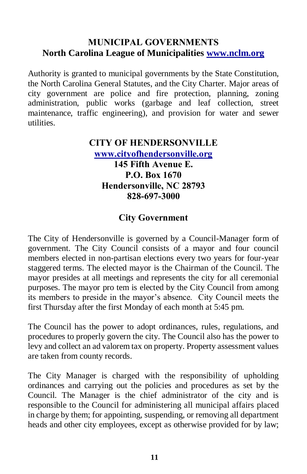#### **MUNICIPAL GOVERNMENTS North Carolina League of Municipalities [www.nclm.org](http://www.nclm.org/)**

Authority is granted to municipal governments by the State Constitution, the North Carolina General Statutes, and the City Charter. Major areas of city government are police and fire protection, planning, zoning administration, public works (garbage and leaf collection, street maintenance, traffic engineering), and provision for water and sewer utilities.

#### **CITY OF HENDERSONVILLE [www.cityofhendersonville.org](http://www.cityofhendersonville.org/) 145 Fifth Avenue E. P.O. Box 1670 Hendersonville, NC 28793 828-697-3000**

#### **City Government**

The City of Hendersonville is governed by a Council-Manager form of government. The City Council consists of a mayor and four council members elected in non-partisan elections every two years for four-year staggered terms. The elected mayor is the Chairman of the Council. The mayor presides at all meetings and represents the city for all ceremonial purposes. The mayor pro tem is elected by the City Council from among its members to preside in the mayor's absence. City Council meets the first Thursday after the first Monday of each month at 5:45 pm.

The Council has the power to adopt ordinances, rules, regulations, and procedures to properly govern the city. The Council also has the power to levy and collect an ad valorem tax on property. Property assessment values are taken from county records.

The City Manager is charged with the responsibility of upholding ordinances and carrying out the policies and procedures as set by the Council. The Manager is the chief administrator of the city and is responsible to the Council for administering all municipal affairs placed in charge by them; for appointing, suspending, or removing all department heads and other city employees, except as otherwise provided for by law;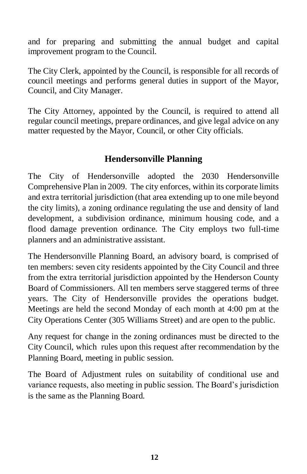and for preparing and submitting the annual budget and capital improvement program to the Council.

The City Clerk, appointed by the Council, is responsible for all records of council meetings and performs general duties in support of the Mayor, Council, and City Manager.

The City Attorney, appointed by the Council, is required to attend all regular council meetings, prepare ordinances, and give legal advice on any matter requested by the Mayor, Council, or other City officials.

#### **Hendersonville Planning**

The City of Hendersonville adopted the 2030 Hendersonville Comprehensive Plan in 2009. The city enforces, within its corporate limits and extra territorial jurisdiction (that area extending up to one mile beyond the city limits), a zoning ordinance regulating the use and density of land development, a subdivision ordinance, minimum housing code, and a flood damage prevention ordinance. The City employs two full-time planners and an administrative assistant.

The Hendersonville Planning Board, an advisory board, is comprised of ten members: seven city residents appointed by the City Council and three from the extra territorial jurisdiction appointed by the Henderson County Board of Commissioners. All ten members serve staggered terms of three years. The City of Hendersonville provides the operations budget. Meetings are held the second Monday of each month at 4:00 pm at the City Operations Center (305 Williams Street) and are open to the public.

Any request for change in the zoning ordinances must be directed to the City Council, which rules upon this request after recommendation by the Planning Board, meeting in public session.

The Board of Adjustment rules on suitability of conditional use and variance requests, also meeting in public session. The Board's jurisdiction is the same as the Planning Board.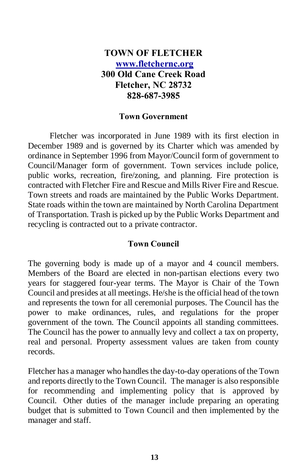#### **TOWN OF FLETCHER [www.fletchernc.org](http://www.fletchernc.org/) 300 Old Cane Creek Road Fletcher, NC 28732 828-687-3985**

#### **Town Government**

Fletcher was incorporated in June 1989 with its first election in December 1989 and is governed by its Charter which was amended by ordinance in September 1996 from Mayor/Council form of government to Council/Manager form of government. Town services include police, public works, recreation, fire/zoning, and planning. Fire protection is contracted with Fletcher Fire and Rescue and Mills River Fire and Rescue. Town streets and roads are maintained by the Public Works Department. State roads within the town are maintained by North Carolina Department of Transportation. Trash is picked up by the Public Works Department and recycling is contracted out to a private contractor.

#### **Town Council**

The governing body is made up of a mayor and 4 council members. Members of the Board are elected in non-partisan elections every two years for staggered four-year terms. The Mayor is Chair of the Town Council and presides at all meetings. He/she is the official head of the town and represents the town for all ceremonial purposes. The Council has the power to make ordinances, rules, and regulations for the proper government of the town. The Council appoints all standing committees. The Council has the power to annually levy and collect a tax on property, real and personal. Property assessment values are taken from county records.

Fletcher has a manager who handles the day-to-day operations of the Town and reports directly to the Town Council. The manager is also responsible for recommending and implementing policy that is approved by Council. Other duties of the manager include preparing an operating budget that is submitted to Town Council and then implemented by the manager and staff.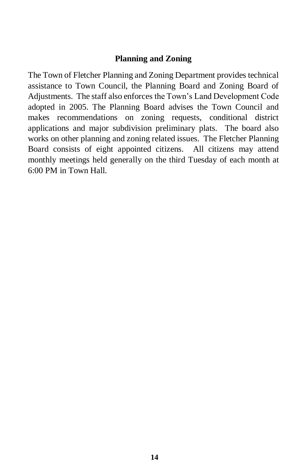#### **Planning and Zoning**

The Town of Fletcher Planning and Zoning Department provides technical assistance to Town Council, the Planning Board and Zoning Board of Adjustments. The staff also enforces the Town's Land Development Code adopted in 2005. The Planning Board advises the Town Council and makes recommendations on zoning requests, conditional district applications and major subdivision preliminary plats. The board also works on other planning and zoning related issues. The Fletcher Planning Board consists of eight appointed citizens. All citizens may attend monthly meetings held generally on the third Tuesday of each month at 6:00 PM in Town Hall.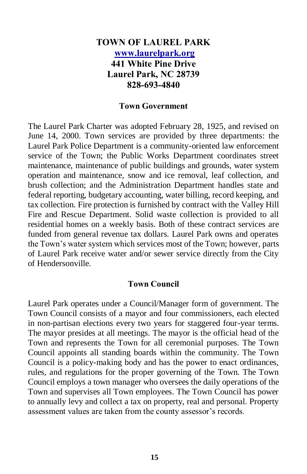#### **TOWN OF LAUREL PARK [www.laurelpark.org](http://www.laurelpark.org/) 441 White Pine Drive Laurel Park, NC 28739 828-693-4840**

#### **Town Government**

The Laurel Park Charter was adopted February 28, 1925, and revised on June 14, 2000. Town services are provided by three departments: the Laurel Park Police Department is a community-oriented law enforcement service of the Town; the Public Works Department coordinates street maintenance, maintenance of public buildings and grounds, water system operation and maintenance, snow and ice removal, leaf collection, and brush collection; and the Administration Department handles state and federal reporting, budgetary accounting, water billing, record keeping, and tax collection. Fire protection is furnished by contract with the Valley Hill Fire and Rescue Department. Solid waste collection is provided to all residential homes on a weekly basis. Both of these contract services are funded from general revenue tax dollars. Laurel Park owns and operates the Town's water system which services most of the Town; however, parts of Laurel Park receive water and/or sewer service directly from the City of Hendersonville.

#### **Town Council**

Laurel Park operates under a Council/Manager form of government. The Town Council consists of a mayor and four commissioners, each elected in non-partisan elections every two years for staggered four-year terms. The mayor presides at all meetings. The mayor is the official head of the Town and represents the Town for all ceremonial purposes. The Town Council appoints all standing boards within the community. The Town Council is a policy-making body and has the power to enact ordinances, rules, and regulations for the proper governing of the Town. The Town Council employs a town manager who oversees the daily operations of the Town and supervises all Town employees. The Town Council has power to annually levy and collect a tax on property, real and personal. Property assessment values are taken from the county assessor's records.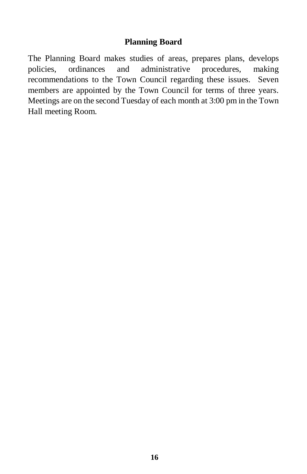#### **Planning Board**

The Planning Board makes studies of areas, prepares plans, develops policies, ordinances and administrative procedures, making recommendations to the Town Council regarding these issues. Seven members are appointed by the Town Council for terms of three years. Meetings are on the second Tuesday of each month at 3:00 pm in the Town Hall meeting Room.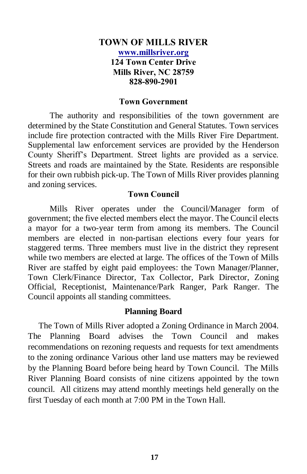#### **TOWN OF MILLS RIVER [www.millsriver.org](http://www.millsriver.org/) 124 Town Center Drive Mills River, NC 28759 828-890-2901**

#### **Town Government**

The authority and responsibilities of the town government are determined by the State Constitution and General Statutes. Town services include fire protection contracted with the Mills River Fire Department. Supplemental law enforcement services are provided by the Henderson County Sheriff's Department. Street lights are provided as a service. Streets and roads are maintained by the State. Residents are responsible for their own rubbish pick-up. The Town of Mills River provides planning and zoning services.

#### **Town Council**

Mills River operates under the Council/Manager form of government; the five elected members elect the mayor. The Council elects a mayor for a two-year term from among its members. The Council members are elected in non-partisan elections every four years for staggered terms. Three members must live in the district they represent while two members are elected at large. The offices of the Town of Mills River are staffed by eight paid employees: the Town Manager/Planner, Town Clerk/Finance Director, Tax Collector, Park Director, Zoning Official, Receptionist, Maintenance/Park Ranger, Park Ranger. The Council appoints all standing committees.

#### **Planning Board**

 The Town of Mills River adopted a Zoning Ordinance in March 2004. The Planning Board advises the Town Council and makes recommendations on rezoning requests and requests for text amendments to the zoning ordinance Various other land use matters may be reviewed by the Planning Board before being heard by Town Council. The Mills River Planning Board consists of nine citizens appointed by the town council. All citizens may attend monthly meetings held generally on the first Tuesday of each month at 7:00 PM in the Town Hall.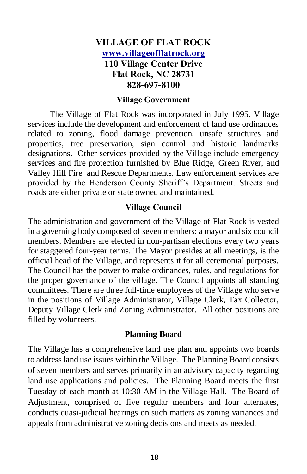#### **VILLAGE OF FLAT ROCK [www.villageofflatrock.org](http://www.villageofflatrock.org/) 110 Village Center Drive Flat Rock, NC 28731 828-697-8100**

#### **Village Government**

The Village of Flat Rock was incorporated in July 1995. Village services include the development and enforcement of land use ordinances related to zoning, flood damage prevention, unsafe structures and properties, tree preservation, sign control and historic landmarks designations. Other services provided by the Village include emergency services and fire protection furnished by Blue Ridge, Green River, and Valley Hill Fire and Rescue Departments. Law enforcement services are provided by the Henderson County Sheriff's Department. Streets and roads are either private or state owned and maintained.

#### **Village Council**

The administration and government of the Village of Flat Rock is vested in a governing body composed of seven members: a mayor and six council members. Members are elected in non-partisan elections every two years for staggered four-year terms. The Mayor presides at all meetings, is the official head of the Village, and represents it for all ceremonial purposes. The Council has the power to make ordinances, rules, and regulations for the proper governance of the village. The Council appoints all standing committees. There are three full-time employees of the Village who serve in the positions of Village Administrator, Village Clerk, Tax Collector, Deputy Village Clerk and Zoning Administrator. All other positions are filled by volunteers.

#### **Planning Board**

The Village has a comprehensive land use plan and appoints two boards to address land use issues within the Village. The Planning Board consists of seven members and serves primarily in an advisory capacity regarding land use applications and policies. The Planning Board meets the first Tuesday of each month at 10:30 AM in the Village Hall. The Board of Adjustment, comprised of five regular members and four alternates, conducts quasi-judicial hearings on such matters as zoning variances and appeals from administrative zoning decisions and meets as needed.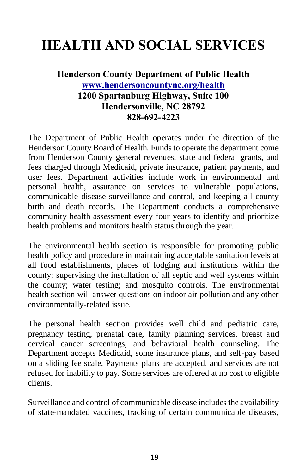# **HEALTH AND SOCIAL SERVICES**

#### **Henderson County Department of Public Health [www.hendersoncountync.org/health](http://www.hendersoncountync.org/health) 1200 Spartanburg Highway, Suite 100 Hendersonville, NC 28792 828-692-4223**

The Department of Public Health operates under the direction of the Henderson County Board of Health. Funds to operate the department come from Henderson County general revenues, state and federal grants, and fees charged through Medicaid, private insurance, patient payments, and user fees. Department activities include work in environmental and personal health, assurance on services to vulnerable populations, communicable disease surveillance and control, and keeping all county birth and death records. The Department conducts a comprehensive community health assessment every four years to identify and prioritize health problems and monitors health status through the year.

The environmental health section is responsible for promoting public health policy and procedure in maintaining acceptable sanitation levels at all food establishments, places of lodging and institutions within the county; supervising the installation of all septic and well systems within the county; water testing; and mosquito controls. The environmental health section will answer questions on indoor air pollution and any other environmentally-related issue.

The personal health section provides well child and pediatric care, pregnancy testing, prenatal care, family planning services, breast and cervical cancer screenings, and behavioral health counseling. The Department accepts Medicaid, some insurance plans, and self-pay based on a sliding fee scale. Payments plans are accepted, and services are not refused for inability to pay. Some services are offered at no cost to eligible clients.

Surveillance and control of communicable disease includes the availability of state-mandated vaccines, tracking of certain communicable diseases,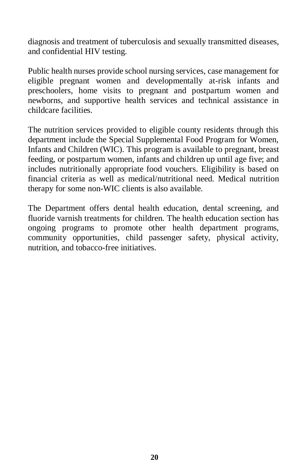diagnosis and treatment of tuberculosis and sexually transmitted diseases, and confidential HIV testing.

Public health nurses provide school nursing services, case management for eligible pregnant women and developmentally at-risk infants and preschoolers, home visits to pregnant and postpartum women and newborns, and supportive health services and technical assistance in childcare facilities.

The nutrition services provided to eligible county residents through this department include the Special Supplemental Food Program for Women, Infants and Children (WIC). This program is available to pregnant, breast feeding, or postpartum women, infants and children up until age five; and includes nutritionally appropriate food vouchers. Eligibility is based on financial criteria as well as medical/nutritional need. Medical nutrition therapy for some non-WIC clients is also available.

The Department offers dental health education, dental screening, and fluoride varnish treatments for children. The health education section has ongoing programs to promote other health department programs, community opportunities, child passenger safety, physical activity, nutrition, and tobacco-free initiatives.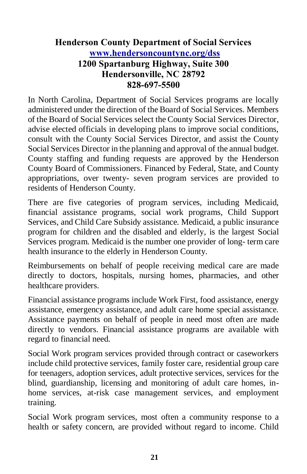#### **Henderson County Department of Social Services [www.hendersoncountync.org/dss](http://www.hendersoncountync.org/dss) 1200 Spartanburg Highway, Suite 300 Hendersonville, NC 28792 828-697-5500**

In North Carolina, Department of Social Services programs are locally administered under the direction of the Board of Social Services. Members of the Board of Social Services select the County Social Services Director, advise elected officials in developing plans to improve social conditions, consult with the County Social Services Director, and assist the County Social Services Director in the planning and approval of the annual budget. County staffing and funding requests are approved by the Henderson County Board of Commissioners. Financed by Federal, State, and County appropriations, over twenty- seven program services are provided to residents of Henderson County.

There are five categories of program services, including Medicaid, financial assistance programs, social work programs, Child Support Services, and Child Care Subsidy assistance. Medicaid, a public insurance program for children and the disabled and elderly, is the largest Social Services program. Medicaid is the number one provider of long- term care health insurance to the elderly in Henderson County.

Reimbursements on behalf of people receiving medical care are made directly to doctors, hospitals, nursing homes, pharmacies, and other healthcare providers.

Financial assistance programs include Work First, food assistance, energy assistance, emergency assistance, and adult care home special assistance. Assistance payments on behalf of people in need most often are made directly to vendors. Financial assistance programs are available with regard to financial need.

Social Work program services provided through contract or caseworkers include child protective services, family foster care, residential group care for teenagers, adoption services, adult protective services, services for the blind, guardianship, licensing and monitoring of adult care homes, inhome services, at-risk case management services, and employment training.

Social Work program services, most often a community response to a health or safety concern, are provided without regard to income. Child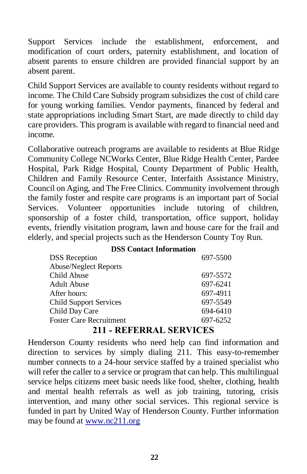Support Services include the establishment, enforcement, and modification of court orders, paternity establishment, and location of absent parents to ensure children are provided financial support by an absent parent.

Child Support Services are available to county residents without regard to income. The Child Care Subsidy program subsidizes the cost of child care for young working families. Vendor payments, financed by federal and state appropriations including Smart Start, are made directly to child day care providers. This program is available with regard to financial need and income.

Collaborative outreach programs are available to residents at Blue Ridge Community College NCWorks Center, Blue Ridge Health Center, Pardee Hospital, Park Ridge Hospital, County Department of Public Health, Children and Family Resource Center, Interfaith Assistance Ministry, Council on Aging, and The Free Clinics. Community involvement through the family foster and respite care programs is an important part of Social Services. Volunteer opportunities include tutoring of children, sponsorship of a foster child, transportation, office support, holiday events, friendly visitation program, lawn and house care for the frail and elderly, and special projects such as the Henderson County Toy Run.

|  |  | <b>DSS</b> Contact Information |
|--|--|--------------------------------|
|--|--|--------------------------------|

| <b>DSS</b> Reception           | 697-5500 |
|--------------------------------|----------|
| <b>Abuse/Neglect Reports</b>   |          |
| Child Abuse                    | 697-5572 |
| <b>Adult Abuse</b>             | 697-6241 |
| After hours:                   | 697-4911 |
| <b>Child Support Services</b>  | 697-5549 |
| Child Day Care                 | 694-6410 |
| <b>Foster Care Recruitment</b> | 697-6252 |

#### **211 - REFERRAL SERVICES**

Henderson County residents who need help can find information and direction to services by simply dialing 211. This easy-to-remember number connects to a 24-hour service staffed by a trained specialist who will refer the caller to a service or program that can help. This multilingual service helps citizens meet basic needs like food, shelter, clothing, health and mental health referrals as well as job training, tutoring, crisis intervention, and many other social services. This regional service is funded in part by United Way of Henderson County. Further information may be found at www.nc211.org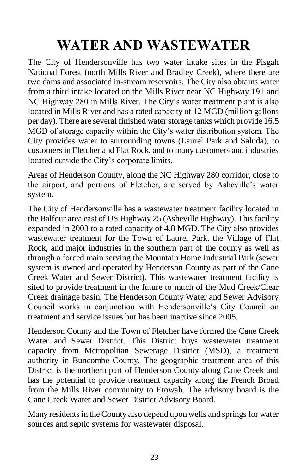# **WATER AND WASTEWATER**

The City of Hendersonville has two water intake sites in the Pisgah National Forest (north Mills River and Bradley Creek), where there are two dams and associated in-stream reservoirs. The City also obtains water from a third intake located on the Mills River near NC Highway 191 and NC Highway 280 in Mills River. The City's water treatment plant is also located in Mills River and has a rated capacity of 12 MGD (million gallons per day). There are several finished water storage tanks which provide 16.5 MGD of storage capacity within the City's water distribution system. The City provides water to surrounding towns (Laurel Park and Saluda), to customers in Fletcher and Flat Rock, and to many customers and industries located outside the City's corporate limits.

Areas of Henderson County, along the NC Highway 280 corridor, close to the airport, and portions of Fletcher, are served by Asheville's water system.

The City of Hendersonville has a wastewater treatment facility located in the Balfour area east of US Highway 25 (Asheville Highway). This facility expanded in 2003 to a rated capacity of 4.8 MGD. The City also provides wastewater treatment for the Town of Laurel Park, the Village of Flat Rock, and major industries in the southern part of the county as well as through a forced main serving the Mountain Home Industrial Park (sewer system is owned and operated by Henderson County as part of the Cane Creek Water and Sewer District). This wastewater treatment facility is sited to provide treatment in the future to much of the Mud Creek/Clear Creek drainage basin. The Henderson County Water and Sewer Advisory Council works in conjunction with Hendersonville's City Council on treatment and service issues but has been inactive since 2005.

Henderson County and the Town of Fletcher have formed the Cane Creek Water and Sewer District. This District buys wastewater treatment capacity from Metropolitan Sewerage District (MSD), a treatment authority in Buncombe County. The geographic treatment area of this District is the northern part of Henderson County along Cane Creek and has the potential to provide treatment capacity along the French Broad from the Mills River community to Etowah. The advisory board is the Cane Creek Water and Sewer District Advisory Board.

Many residents in the County also depend upon wells and springs for water sources and septic systems for wastewater disposal.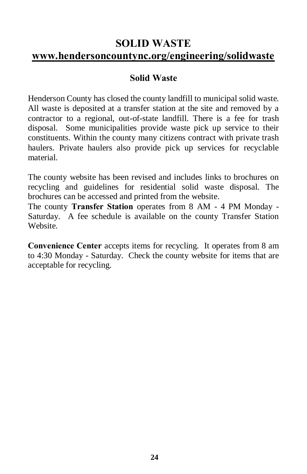### **SOLID WASTE www.hendersoncountync.org/engineering/solidwaste**

#### **Solid Waste**

Henderson County has closed the county landfill to municipal solid waste. All waste is deposited at a transfer station at the site and removed by a contractor to a regional, out-of-state landfill. There is a fee for trash disposal. Some municipalities provide waste pick up service to their constituents. Within the county many citizens contract with private trash haulers. Private haulers also provide pick up services for recyclable material.

The county website has been revised and includes links to brochures on recycling and guidelines for residential solid waste disposal. The brochures can be accessed and printed from the website.

The county **Transfer Station** operates from 8 AM - 4 PM Monday - Saturday. A fee schedule is available on the county Transfer Station Website.

**Convenience Center** accepts items for recycling. It operates from 8 am to 4:30 Monday - Saturday. Check the county website for items that are acceptable for recycling.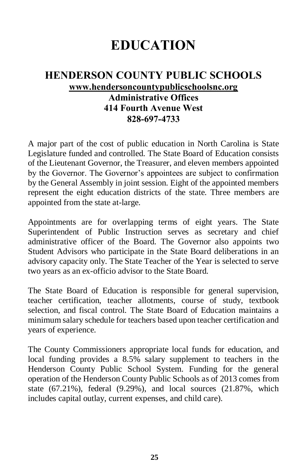# **EDUCATION**

#### **HENDERSON COUNTY PUBLIC SCHOOLS [www.hendersoncountypublicschoolsnc.org](http://www.hendersoncountypublicschoolsnc.org/) Administrative Offices 414 Fourth Avenue West 828-697-4733**

A major part of the cost of public education in North Carolina is State Legislature funded and controlled. The State Board of Education consists of the Lieutenant Governor, the Treasurer, and eleven members appointed by the Governor. The Governor's appointees are subject to confirmation by the General Assembly in joint session. Eight of the appointed members represent the eight education districts of the state. Three members are appointed from the state at-large.

Appointments are for overlapping terms of eight years. The State Superintendent of Public Instruction serves as secretary and chief administrative officer of the Board. The Governor also appoints two Student Advisors who participate in the State Board deliberations in an advisory capacity only. The State Teacher of the Year is selected to serve two years as an ex-officio advisor to the State Board.

The State Board of Education is responsible for general supervision, teacher certification, teacher allotments, course of study, textbook selection, and fiscal control. The State Board of Education maintains a minimum salary schedule for teachers based upon teacher certification and years of experience.

The County Commissioners appropriate local funds for education, and local funding provides a 8.5% salary supplement to teachers in the Henderson County Public School System. Funding for the general operation of the Henderson County Public Schools as of 2013 comes from state (67.21%), federal (9.29%), and local sources (21.87%, which includes capital outlay, current expenses, and child care).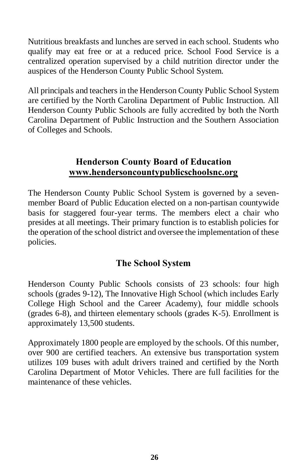Nutritious breakfasts and lunches are served in each school. Students who qualify may eat free or at a reduced price. School Food Service is a centralized operation supervised by a child nutrition director under the auspices of the Henderson County Public School System.

All principals and teachers in the Henderson County Public School System are certified by the North Carolina Department of Public Instruction. All Henderson County Public Schools are fully accredited by both the North Carolina Department of Public Instruction and the Southern Association of Colleges and Schools.

#### **Henderson County Board of Education [www.hendersoncountyp](http://www.hendersoncounty/)ublicschoolsnc.org**

The Henderson County Public School System is governed by a sevenmember Board of Public Education elected on a non-partisan countywide basis for staggered four-year terms. The members elect a chair who presides at all meetings. Their primary function is to establish policies for the operation of the school district and oversee the implementation of these policies.

#### **The School System**

Henderson County Public Schools consists of 23 schools: four high schools (grades 9-12), The Innovative High School (which includes Early College High School and the Career Academy), four middle schools (grades 6-8), and thirteen elementary schools (grades K-5). Enrollment is approximately 13,500 students.

Approximately 1800 people are employed by the schools. Of this number, over 900 are certified teachers. An extensive bus transportation system utilizes 109 buses with adult drivers trained and certified by the North Carolina Department of Motor Vehicles. There are full facilities for the maintenance of these vehicles.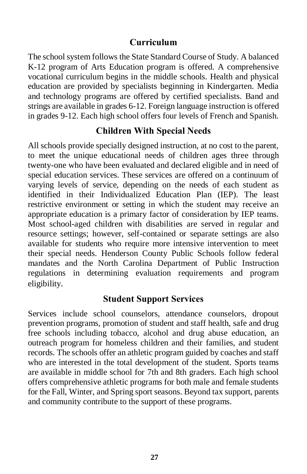#### **Curriculum**

The school system follows the State Standard Course of Study. A balanced K-12 program of Arts Education program is offered. A comprehensive vocational curriculum begins in the middle schools. Health and physical education are provided by specialists beginning in Kindergarten. Media and technology programs are offered by certified specialists. Band and strings are available in grades 6-12. Foreign language instruction is offered in grades 9-12. Each high school offers four levels of French and Spanish.

#### **Children With Special Needs**

All schools provide specially designed instruction, at no cost to the parent, to meet the unique educational needs of children ages three through twenty-one who have been evaluated and declared eligible and in need of special education services. These services are offered on a continuum of varying levels of service, depending on the needs of each student as identified in their Individualized Education Plan (IEP). The least restrictive environment or setting in which the student may receive an appropriate education is a primary factor of consideration by IEP teams. Most school-aged children with disabilities are served in regular and resource settings; however, self-contained or separate settings are also available for students who require more intensive intervention to meet their special needs. Henderson County Public Schools follow federal mandates and the North Carolina Department of Public Instruction regulations in determining evaluation requirements and program eligibility.

#### **Student Support Services**

Services include school counselors, attendance counselors, dropout prevention programs, promotion of student and staff health, safe and drug free schools including tobacco, alcohol and drug abuse education, an outreach program for homeless children and their families, and student records. The schools offer an athletic program guided by coaches and staff who are interested in the total development of the student. Sports teams are available in middle school for 7th and 8th graders. Each high school offers comprehensive athletic programs for both male and female students for the Fall, Winter, and Spring sport seasons. Beyond tax support, parents and community contribute to the support of these programs.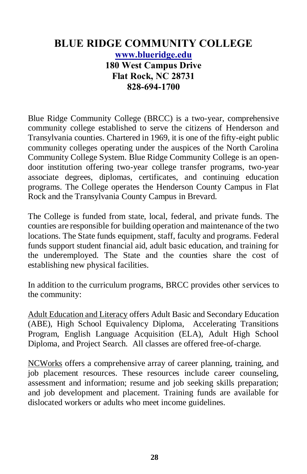#### **BLUE RIDGE COMMUNITY COLLEGE [www.blueridge.edu](http://www.blueridge.edu/) 180 West Campus Drive Flat Rock, NC 28731 828-694-1700**

Blue Ridge Community College (BRCC) is a two-year, comprehensive community college established to serve the citizens of Henderson and Transylvania counties. Chartered in 1969, it is one of the fifty-eight public community colleges operating under the auspices of the North Carolina Community College System. Blue Ridge Community College is an opendoor institution offering two-year college transfer programs, two-year associate degrees, diplomas, certificates, and continuing education programs. The College operates the Henderson County Campus in Flat Rock and the Transylvania County Campus in Brevard.

The College is funded from state, local, federal, and private funds. The counties are responsible for building operation and maintenance of the two locations. The State funds equipment, staff, faculty and programs. Federal funds support student financial aid, adult basic education, and training for the underemployed. The State and the counties share the cost of establishing new physical facilities.

In addition to the curriculum programs, BRCC provides other services to the community:

Adult Education and Literacy offers Adult Basic and Secondary Education (ABE), High School Equivalency Diploma, Accelerating Transitions Program, English Language Acquisition (ELA), Adult High School Diploma, and Project Search. All classes are offered free-of-charge.

NCWorks offers a comprehensive array of career planning, training, and job placement resources. These resources include career counseling, assessment and information; resume and job seeking skills preparation; and job development and placement. Training funds are available for dislocated workers or adults who meet income guidelines.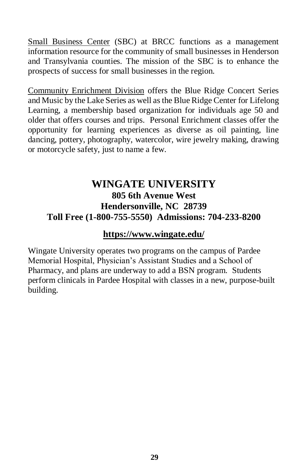Small Business Center (SBC) at BRCC functions as a management information resource for the community of small businesses in Henderson and Transylvania counties. The mission of the SBC is to enhance the prospects of success for small businesses in the region.

Community Enrichment Division offers the Blue Ridge Concert Series and Music by the Lake Series as well as the Blue Ridge Center for Lifelong Learning, a membership based organization for individuals age 50 and older that offers courses and trips. Personal Enrichment classes offer the opportunity for learning experiences as diverse as oil painting, line dancing, pottery, photography, watercolor, wire jewelry making, drawing or motorcycle safety, just to name a few.

#### **WINGATE UNIVERSITY 805 6th Avenue West Hendersonville, NC 28739 Toll Free (1-800-755-5550) Admissions: 704-233-8200**

#### **<https://www.wingate.edu/>**

Wingate University operates two programs on the campus of Pardee Memorial Hospital, Physician's Assistant Studies and a School of Pharmacy, and plans are underway to add a BSN program. Students perform clinicals in Pardee Hospital with classes in a new, purpose-built building.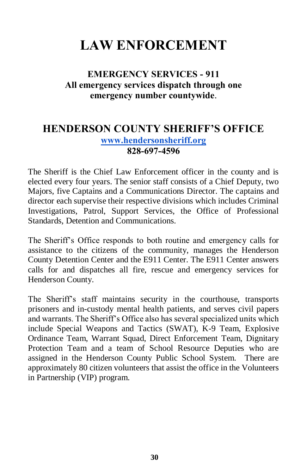# **LAW ENFORCEMENT**

#### **EMERGENCY SERVICES - 911 All emergency services dispatch through one emergency number countywide**.

#### **HENDERSON COUNTY SHERIFF'S OFFICE [www.hendersonsheriff.org](http://www.hendersoncountync.org/sheriff) 828-697-4596**

The Sheriff is the Chief Law Enforcement officer in the county and is elected every four years. The senior staff consists of a Chief Deputy, two Majors, five Captains and a Communications Director. The captains and director each supervise their respective divisions which includes Criminal Investigations, Patrol, Support Services, the Office of Professional Standards, Detention and Communications.

The Sheriff's Office responds to both routine and emergency calls for assistance to the citizens of the community, manages the Henderson County Detention Center and the E911 Center. The E911 Center answers calls for and dispatches all fire, rescue and emergency services for Henderson County.

The Sheriff's staff maintains security in the courthouse, transports prisoners and in-custody mental health patients, and serves civil papers and warrants. The Sheriff's Office also has several specialized units which include Special Weapons and Tactics (SWAT), K-9 Team, Explosive Ordinance Team, Warrant Squad, Direct Enforcement Team, Dignitary Protection Team and a team of School Resource Deputies who are assigned in the Henderson County Public School System. There are approximately 80 citizen volunteers that assist the office in the Volunteers in Partnership (VIP) program.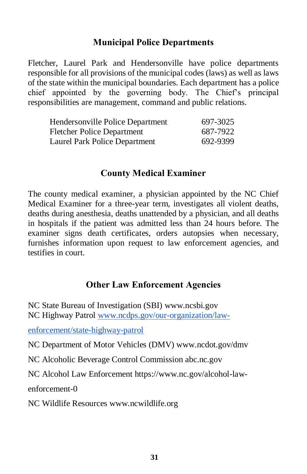#### **Municipal Police Departments**

Fletcher, Laurel Park and Hendersonville have police departments responsible for all provisions of the municipal codes (laws) as well as laws of the state within the municipal boundaries. Each department has a police chief appointed by the governing body. The Chief's principal responsibilities are management, command and public relations.

| Hendersonville Police Department  | 697-3025 |
|-----------------------------------|----------|
| <b>Fletcher Police Department</b> | 687-7922 |
| Laurel Park Police Department     | 692-9399 |

#### **County Medical Examiner**

The county medical examiner, a physician appointed by the NC Chief Medical Examiner for a three-year term, investigates all violent deaths, deaths during anesthesia, deaths unattended by a physician, and all deaths in hospitals if the patient was admitted less than 24 hours before. The examiner signs death certificates, orders autopsies when necessary, furnishes information upon request to law enforcement agencies, and testifies in court.

#### **Other Law Enforcement Agencies**

NC State Bureau of Investigation (SBI) www.ncsbi.gov NC Highway Patrol [www.ncdps.gov/our-organization/law-](http://www.ncdps.gov/our-organization/law-enforcement/state-highway-patrol)

[enforcement/state-highway-patrol](http://www.ncdps.gov/our-organization/law-enforcement/state-highway-patrol)

NC Department of Motor Vehicles (DMV) www.ncdot.gov/dmv

NC Alcoholic Beverage Control Commission abc.nc.gov

NC Alcohol Law Enforcement https://www.nc.gov/alcohol-law-

enforcement-0

NC Wildlife Resources www.ncwildlife.org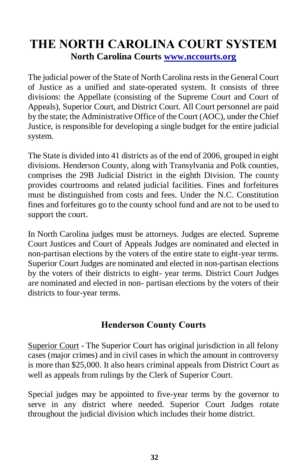# **THE NORTH CAROLINA COURT SYSTEM North Carolina Courts [www.nccourts.org](http://www.nccourts.org/)**

The judicial power of the State of North Carolina rests in the General Court of Justice as a unified and state-operated system. It consists of three divisions: the Appellate (consisting of the Supreme Court and Court of Appeals), Superior Court, and District Court. All Court personnel are paid by the state; the Administrative Office of the Court (AOC), under the Chief Justice, is responsible for developing a single budget for the entire judicial system.

The State is divided into 41 districts as of the end of 2006, grouped in eight divisions. Henderson County, along with Transylvania and Polk counties, comprises the 29B Judicial District in the eighth Division. The county provides courtrooms and related judicial facilities. Fines and forfeitures must be distinguished from costs and fees. Under the N.C. Constitution fines and forfeitures go to the county school fund and are not to be used to support the court.

In North Carolina judges must be attorneys. Judges are elected. Supreme Court Justices and Court of Appeals Judges are nominated and elected in non-partisan elections by the voters of the entire state to eight-year terms. Superior Court Judges are nominated and elected in non-partisan elections by the voters of their districts to eight- year terms. District Court Judges are nominated and elected in non- partisan elections by the voters of their districts to four-year terms.

#### **Henderson County Courts**

Superior Court - The Superior Court has original jurisdiction in all felony cases (major crimes) and in civil cases in which the amount in controversy is more than \$25,000. It also hears criminal appeals from District Court as well as appeals from rulings by the Clerk of Superior Court.

Special judges may be appointed to five-year terms by the governor to serve in any district where needed. Superior Court Judges rotate throughout the judicial division which includes their home district.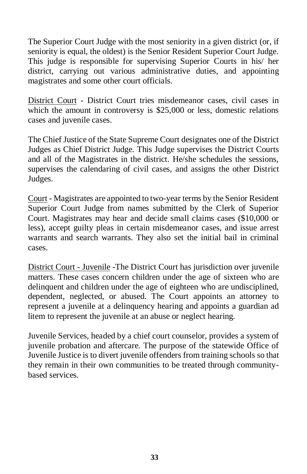The Superior Court Judge with the most seniority in a given district (or, if seniority is equal, the oldest) is the Senior Resident Superior Court Judge. This judge is responsible for supervising Superior Courts in his/ her district, carrying out various administrative duties, and appointing magistrates and some other court officials.

District Court - District Court tries misdemeanor cases, civil cases in which the amount in controversy is \$25,000 or less, domestic relations cases and juvenile cases.

The Chief Justice of the State Supreme Court designates one of the District Judges as Chief District Judge. This Judge supervises the District Courts and all of the Magistrates in the district. He/she schedules the sessions, supervises the calendaring of civil cases, and assigns the other District Judges.

Court - Magistrates are appointed to two-year terms by the Senior Resident Superior Court Judge from names submitted by the Clerk of Superior Court. Magistrates may hear and decide small claims cases (\$10,000 or less), accept guilty pleas in certain misdemeanor cases, and issue arrest warrants and search warrants. They also set the initial bail in criminal cases.

District Court - Juvenile -The District Court has jurisdiction over juvenile matters. These cases concern children under the age of sixteen who are delinquent and children under the age of eighteen who are undisciplined, dependent, neglected, or abused. The Court appoints an attorney to represent a juvenile at a delinquency hearing and appoints a guardian ad litem to represent the juvenile at an abuse or neglect hearing.

Juvenile Services, headed by a chief court counselor, provides a system of juvenile probation and aftercare. The purpose of the statewide Office of Juvenile Justice is to divert juvenile offenders from training schools so that they remain in their own communities to be treated through communitybased services.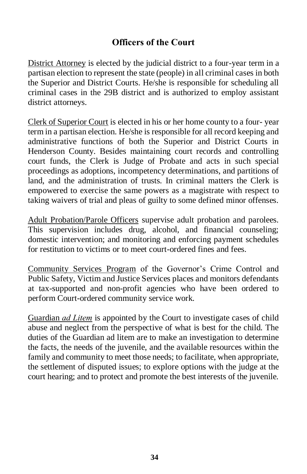#### **Officers of the Court**

District Attorney is elected by the judicial district to a four-year term in a partisan election to represent the state (people) in all criminal cases in both the Superior and District Courts. He/she is responsible for scheduling all criminal cases in the 29B district and is authorized to employ assistant district attorneys.

Clerk of Superior Court is elected in his or her home county to a four- year term in a partisan election. He/she is responsible for all record keeping and administrative functions of both the Superior and District Courts in Henderson County. Besides maintaining court records and controlling court funds, the Clerk is Judge of Probate and acts in such special proceedings as adoptions, incompetency determinations, and partitions of land, and the administration of trusts. In criminal matters the Clerk is empowered to exercise the same powers as a magistrate with respect to taking waivers of trial and pleas of guilty to some defined minor offenses.

Adult Probation/Parole Officers supervise adult probation and parolees. This supervision includes drug, alcohol, and financial counseling; domestic intervention; and monitoring and enforcing payment schedules for restitution to victims or to meet court-ordered fines and fees.

Community Services Program of the Governor's Crime Control and Public Safety, Victim and Justice Services places and monitors defendants at tax-supported and non-profit agencies who have been ordered to perform Court-ordered community service work.

Guardian *ad Litem* is appointed by the Court to investigate cases of child abuse and neglect from the perspective of what is best for the child. The duties of the Guardian ad litem are to make an investigation to determine the facts, the needs of the juvenile, and the available resources within the family and community to meet those needs; to facilitate, when appropriate, the settlement of disputed issues; to explore options with the judge at the court hearing; and to protect and promote the best interests of the juvenile.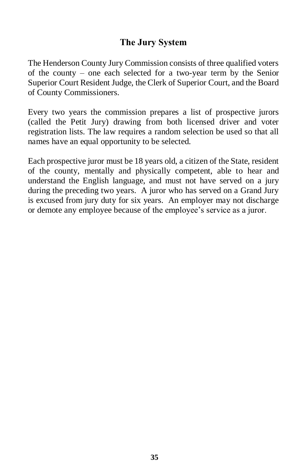#### **The Jury System**

The Henderson County Jury Commission consists of three qualified voters of the county – one each selected for a two-year term by the Senior Superior Court Resident Judge, the Clerk of Superior Court, and the Board of County Commissioners.

Every two years the commission prepares a list of prospective jurors (called the Petit Jury) drawing from both licensed driver and voter registration lists. The law requires a random selection be used so that all names have an equal opportunity to be selected.

Each prospective juror must be 18 years old, a citizen of the State, resident of the county, mentally and physically competent, able to hear and understand the English language, and must not have served on a jury during the preceding two years. A juror who has served on a Grand Jury is excused from jury duty for six years. An employer may not discharge or demote any employee because of the employee's service as a juror.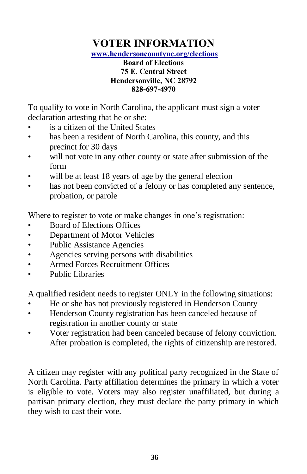# **VOTER INFORMATION**

**[www.hendersoncountync.org/elections](http://www.hendersoncountync.org/elections)**

#### **Board of Elections 75 E. Central Street Hendersonville, NC 28792 828-697-4970**

To qualify to vote in North Carolina, the applicant must sign a voter declaration attesting that he or she:

- is a citizen of the United States
- has been a resident of North Carolina, this county, and this precinct for 30 days
- will not vote in any other county or state after submission of the form
- will be at least 18 years of age by the general election
- has not been convicted of a felony or has completed any sentence, probation, or parole

Where to register to vote or make changes in one's registration:

- Board of Elections Offices
- Department of Motor Vehicles
- Public Assistance Agencies
- Agencies serving persons with disabilities
- Armed Forces Recruitment Offices
- Public Libraries

A qualified resident needs to register ONLY in the following situations:

- He or she has not previously registered in Henderson County
- Henderson County registration has been canceled because of registration in another county or state
- Voter registration had been canceled because of felony conviction. After probation is completed, the rights of citizenship are restored.

A citizen may register with any political party recognized in the State of North Carolina. Party affiliation determines the primary in which a voter is eligible to vote. Voters may also register unaffiliated, but during a partisan primary election, they must declare the party primary in which they wish to cast their vote.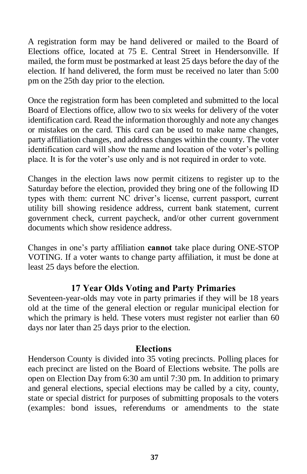A registration form may be hand delivered or mailed to the Board of Elections office, located at 75 E. Central Street in Hendersonville. If mailed, the form must be postmarked at least 25 days before the day of the election. If hand delivered, the form must be received no later than 5:00 pm on the 25th day prior to the election.

Once the registration form has been completed and submitted to the local Board of Elections office, allow two to six weeks for delivery of the voter identification card. Read the information thoroughly and note any changes or mistakes on the card. This card can be used to make name changes, party affiliation changes, and address changes within the county. The voter identification card will show the name and location of the voter's polling place. It is for the voter's use only and is not required in order to vote.

Changes in the election laws now permit citizens to register up to the Saturday before the election, provided they bring one of the following ID types with them: current NC driver's license, current passport, current utility bill showing residence address, current bank statement, current government check, current paycheck, and/or other current government documents which show residence address.

Changes in one's party affiliation **cannot** take place during ONE-STOP VOTING. If a voter wants to change party affiliation, it must be done at least 25 days before the election.

#### **17 Year Olds Voting and Party Primaries**

Seventeen-year-olds may vote in party primaries if they will be 18 years old at the time of the general election or regular municipal election for which the primary is held. These voters must register not earlier than 60 days nor later than 25 days prior to the election.

#### **Elections**

Henderson County is divided into 35 voting precincts. Polling places for each precinct are listed on the Board of Elections website. The polls are open on Election Day from 6:30 am until 7:30 pm. In addition to primary and general elections, special elections may be called by a city, county, state or special district for purposes of submitting proposals to the voters (examples: bond issues, referendums or amendments to the state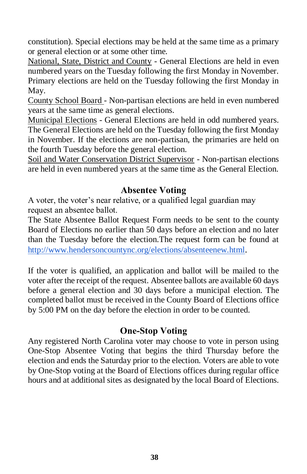constitution). Special elections may be held at the same time as a primary or general election or at some other time.

National, State, District and County - General Elections are held in even numbered years on the Tuesday following the first Monday in November. Primary elections are held on the Tuesday following the first Monday in May.

County School Board - Non-partisan elections are held in even numbered years at the same time as general elections.

Municipal Elections - General Elections are held in odd numbered years. The General Elections are held on the Tuesday following the first Monday in November. If the elections are non-partisan, the primaries are held on the fourth Tuesday before the general election.

Soil and Water Conservation District Supervisor - Non-partisan elections are held in even numbered years at the same time as the General Election.

#### **Absentee Voting**

A voter, the voter's near relative, or a qualified legal guardian may request an absentee ballot.

The State Absentee Ballot Request Form needs to be sent to the county Board of Elections no earlier than 50 days before an election and no later than the Tuesday before the election.The request form can be found at <http://www.hendersoncountync.org/elections/absenteenew.html>.

If the voter is qualified, an application and ballot will be mailed to the voter after the receipt of the request. Absentee ballots are available 60 days before a general election and 30 days before a municipal election. The completed ballot must be received in the County Board of Elections office by 5:00 PM on the day before the election in order to be counted.

#### **One-Stop Voting**

Any registered North Carolina voter may choose to vote in person using One-Stop Absentee Voting that begins the third Thursday before the election and ends the Saturday prior to the election. Voters are able to vote by One-Stop voting at the Board of Elections offices during regular office hours and at additional sites as designated by the local Board of Elections.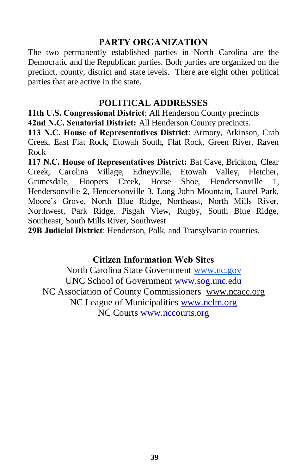#### **PARTY ORGANIZATION**

The two permanently established parties in North Carolina are the Democratic and the Republican parties. Both parties are organized on the precinct, county, district and state levels. There are eight other political parties that are active in the state.

#### **POLITICAL ADDRESSES**

**11th U.S. Congressional District**: All Henderson County precincts **42nd N.C. Senatorial District:** All Henderson County precincts.

**113 N.C. House of Representatives District**: Armory, Atkinson, Crab Creek, East Flat Rock, Etowah South, Flat Rock, Green River, Raven Rock

**117 N.C. House of Representatives District:** Bat Cave, Brickton, Clear Creek, Carolina Village, Edneyville, Etowah Valley, Fletcher, Grimesdale, Hoopers Creek, Horse Shoe, Hendersonville 1, Hendersonville 2, Hendersonville 3, Long John Mountain, Laurel Park, Moore's Grove, North Blue Ridge, Northeast, North Mills River, Northwest, Park Ridge, Pisgah View, Rugby, South Blue Ridge, Southeast, South Mills River, Southwest

**29B Judicial District**: Henderson, Polk, and Transylvania counties.

#### **Citizen Information Web Sites**

North Carolina State Government [www.nc.gov](http://www.northcarolina.gov/) UNC School of Government [www.sog.unc.edu](http://www.sog.unc.edu/) NC Association of County Commissioners [www.ncacc.org](http://www.ncacc.org/) NC League of Municipalities [www.nclm.org](http://www.nclm.org/) NC Courts [www.nccourts.org](http://www.nccourts.org/)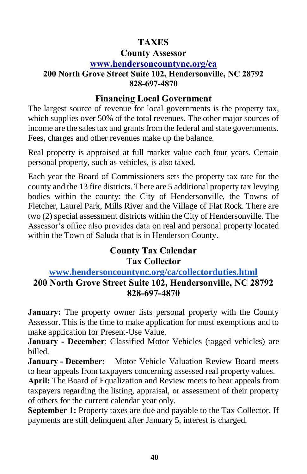#### **TAXES**

#### **County Assessor**

#### **[www.hendersoncountync.org/ca](http://www.hendersoncountync.org/ca)**

#### **200 North Grove Street Suite 102, Hendersonville, NC 28792 828-697-4870**

#### **Financing Local Government**

The largest source of revenue for local governments is the property tax, which supplies over 50% of the total revenues. The other major sources of income are the sales tax and grants from the federal and state governments. Fees, charges and other revenues make up the balance.

Real property is appraised at full market value each four years. Certain personal property, such as vehicles, is also taxed.

Each year the Board of Commissioners sets the property tax rate for the county and the 13 fire districts. There are 5 additional property tax levying bodies within the county: the City of Hendersonville, the Towns of Fletcher, Laurel Park, Mills River and the Village of Flat Rock. There are two (2) special assessment districts within the City of Hendersonville. The Assessor's office also provides data on real and personal property located within the Town of Saluda that is in Henderson County.

#### **County Tax Calendar Tax Collector**

#### **[www.hendersoncountync.org/ca/collectorduties.html](http://www.hendersoncountync.org/ca/collectorduties.html) 200 North Grove Street Suite 102, Hendersonville, NC 28792 828-697-4870**

**January:** The property owner lists personal property with the County Assessor. This is the time to make application for most exemptions and to make application for Present-Use Value.

**January - December**: Classified Motor Vehicles (tagged vehicles) are billed.

**January - December:** Motor Vehicle Valuation Review Board meets to hear appeals from taxpayers concerning assessed real property values.

**April:** The Board of Equalization and Review meets to hear appeals from taxpayers regarding the listing, appraisal, or assessment of their property of others for the current calendar year only.

**September 1:** Property taxes are due and payable to the Tax Collector. If payments are still delinquent after January 5, interest is charged.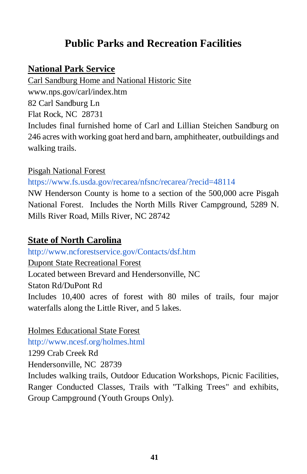### **Public Parks and Recreation Facilities**

#### **National Park Service**

Carl Sandburg Home and National Historic Site

www.nps.gov/carl/index.htm

82 Carl Sandburg Ln

Flat Rock, NC 28731

Includes final furnished home of Carl and Lillian Steichen Sandburg on 246 acres with working goat herd and barn, amphitheater, outbuildings and walking trails.

#### Pisgah National Forest

<https://www.fs.usda.gov/recarea/nfsnc/recarea/?recid=48114>

NW Henderson County is home to a section of the 500,000 acre Pisgah National Forest. Includes the North Mills River Campground, 5289 N. Mills River Road, Mills River, NC 28742

#### **State of North Carolina**

<http://www.ncforestservice.gov/Contacts/dsf.htm> Dupont State Recreational Forest Located between Brevard and Hendersonville, NC Staton Rd/DuPont Rd Includes 10,400 acres of forest with 80 miles of trails, four major waterfalls along the Little River, and 5 lakes.

Holmes Educational State Forest <http://www.ncesf.org/holmes.html> 1299 Crab Creek Rd Hendersonville, NC 28739 Includes walking trails, Outdoor Education Workshops, Picnic Facilities, Ranger Conducted Classes, Trails with "Talking Trees" and exhibits, Group Campground (Youth Groups Only).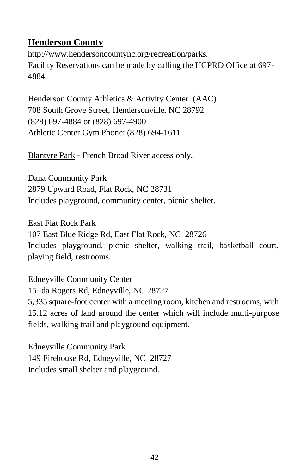#### **Henderson County**

[http://www.hendersoncountync.org/recreation/parks.](http://www.hendersoncountync.org/recreation/parks.html) Facility Reservations can be made by calling the HCPRD Office at 697- 4884.

Henderson County Athletics & Activity Center (AAC) 708 South Grove Street, Hendersonville, NC 28792 (828) 697-4884 or (828) 697-4900 Athletic Center Gym Phone: (828) 694-1611

Blantyre Park - French Broad River access only.

Dana Community Park 2879 Upward Road, Flat Rock, NC 28731 Includes playground, community center, picnic shelter.

East Flat Rock Park 107 East Blue Ridge Rd, East Flat Rock, NC 28726 Includes playground, picnic shelter, walking trail, basketball court, playing field, restrooms.

Edneyville Community Center 15 Ida Rogers Rd, Edneyville, NC 28727 5,335 square-foot center with a meeting room, kitchen and restrooms, with 15.12 acres of land around the center which will include multi-purpose fields, walking trail and playground equipment.

Edneyville Community Park 149 Firehouse Rd, Edneyville, NC 28727 Includes small shelter and playground.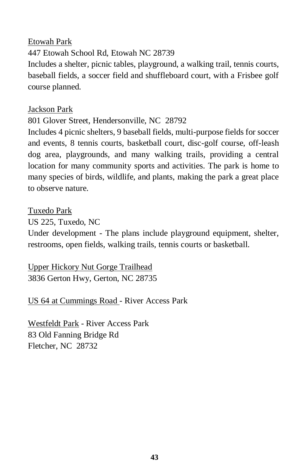#### Etowah Park 447 Etowah School Rd, Etowah NC 28739 Includes a shelter, picnic tables, playground, a walking trail, tennis courts, baseball fields, a soccer field and shuffleboard court, with a Frisbee golf course planned.

#### Jackson Park

#### 801 Glover Street, Hendersonville, NC 28792

Includes 4 picnic shelters, 9 baseball fields, multi-purpose fields for soccer and events, 8 tennis courts, basketball court, disc-golf course, off-leash dog area, playgrounds, and many walking trails, providing a central location for many community sports and activities. The park is home to many species of birds, wildlife, and plants, making the park a great place to observe nature.

#### Tuxedo Park

US 225, Tuxedo, NC

Under development - The plans include playground equipment, shelter, restrooms, open fields, walking trails, tennis courts or basketball.

Upper Hickory Nut Gorge Trailhead 3836 Gerton Hwy, Gerton, NC 28735

US 64 at Cummings Road - River Access Park

Westfeldt Park - River Access Park 83 Old Fanning Bridge Rd Fletcher, NC 28732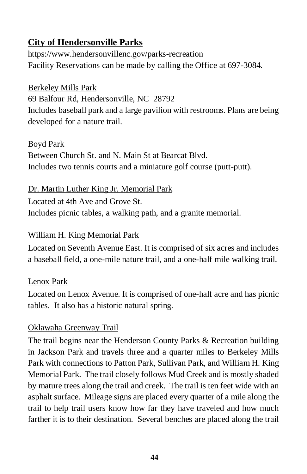### **City of Hendersonville Parks**

<https://www.hendersonvillenc.gov/parks-recreation> Facility Reservations can be made by calling the Office at 697-3084.

#### Berkeley Mills Park

69 Balfour Rd, Hendersonville, NC 28792 Includes baseball park and a large pavilion with restrooms. Plans are being developed for a nature trail.

#### Boyd Park

Between Church St. and N. Main St at Bearcat Blvd. Includes two tennis courts and a miniature golf course (putt-putt).

#### Dr. Martin Luther King Jr. Memorial Park

Located a[t](http://www.google.com/maps/place/398+N+Grove+St,+Hendersonville,+NC+28792/@35.3171366,-82.4584341,19z/data=%214m7%211m4%213m3%211s0x8859c212345ab31f:0x523cb39e268c02%212s4th+Ave+E+%26+N+Grove+St,+Hendersonville,+NC+28792%213b1%213m1%211s0x8859c213ca47683f:0xb3bb9652d07b2624?hl=en) 4th Ave and Grove St. Includes picnic tables, a walking path, and a granite memorial.

#### William H. King Memorial Park

Located on [Seventh Avenue East.](http://www.google.com/maps/place/William+H.+King+Memorial+Park/@35.3238128,-82.4569321,17z/data=%214m5%211m2%212m1%211sking+memorial+park+hendersonville+nc%213m1%211s0x8859c20b54781db7:0xc0c654a0467e756e?hl=en) It is comprised of six acres and includes a baseball field, a one-mile nature trail, and a one-half mile walking trail.

#### Lenox Park

Located on [Lenox Avenue.](http://www.google.com/maps/place/Lennox+Park/@35.3081488,-82.4716682,17z/data=%214m5%211m2%212m1%211sLennox+park+hendersonville+nc%213m1%211s0x8859c22218aed1dd:0x4798c44a38dd980a?hl=en) It is comprised of one-half acre and has picnic tables. It also has a historic natural spring.

#### [Oklawaha Greenway Trail](https://www.hendersonvillenc.gov/Data/Sites/1/media/Departments/publicworks/greenway-directorys-telephone.pdf)

The trail begins near the Henderson County Parks & Recreation building in [Jackson Park](http://www.google.com/maps/place/35%C2%B019%2704.9%22N+82%C2%B026%2747.7%22W/@35.318036,-82.4471232,235m/data=%213m2%211e3%214b1%214m2%213m1%211s0x0:0x0?hl=en) and travels three and a quarter miles t[o](http://www.google.com/maps/place/35%C2%B020%2753.8%22N+82%C2%B028%2713.6%22W/@35.348289,-82.4726447,938m/data=%213m2%211e3%214b1%214m2%213m1%211s0x0:0x0?hl=en) [Berkeley Mills](http://www.google.com/maps/place/35%C2%B020%2753.8%22N+82%C2%B028%2713.6%22W/@35.348289,-82.4726447,938m/data=%213m2%211e3%214b1%214m2%213m1%211s0x0:0x0?hl=en)  [Park](http://www.google.com/maps/place/35%C2%B020%2753.8%22N+82%C2%B028%2713.6%22W/@35.348289,-82.4726447,938m/data=%213m2%211e3%214b1%214m2%213m1%211s0x0:0x0?hl=en) with connections to [Patton Park,](http://www.google.com/maps/place/35%C2%B019%2754.8%22N+82%C2%B027%2755.4%22W/@35.331884,-82.4659342,235m/data=%213m2%211e3%214b1%214m2%213m1%211s0x0:0x0?hl=en) [Sullivan Park,](http://www.google.com/maps/place/35%C2%B019%2737.8%22N+82%C2%B027%2724.2%22W/@35.327174,-82.4572762,235m/data=%213m2%211e3%214b1%214m2%213m1%211s0x0:0x0?hl=en) and [William H. King](http://www.google.com/maps/place/35%C2%B019%2732.2%22N+82%C2%B027%2710.8%22W/@35.325625,-82.4535502,235m/data=%213m2%211e3%214b1%214m2%213m1%211s0x0:0x0?hl=en)  [Memorial Park.](http://www.google.com/maps/place/35%C2%B019%2732.2%22N+82%C2%B027%2710.8%22W/@35.325625,-82.4535502,235m/data=%213m2%211e3%214b1%214m2%213m1%211s0x0:0x0?hl=en) The trail closely follows Mud Creek and is mostly shaded by mature trees along the trail and creek. The trail is ten feet wide with an asphalt surface. Mileage signs are placed every quarter of a mile along the trail to help trail users know how far they have traveled and how much farther it is to their destination. Several benches are placed along the trail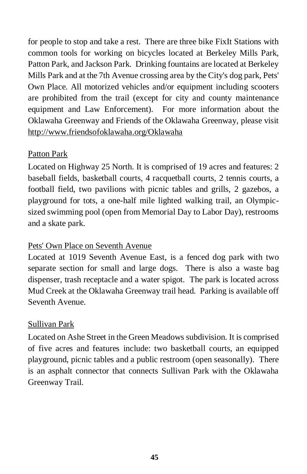for people to stop and take a rest. There are three bike FixIt Stations with common tools for working on bicycles located at Berkeley Mills Park, Patton Park, and Jackson Park. Drinking fountains are located at Berkeley Mills Park and at the 7th Avenue crossing area by the City's dog park, Pets' Own Place. All motorized vehicles and/or equipment including scooters are prohibited from the trail (except for city and county maintenance equipment and Law Enforcement). For more information about the Oklawaha Greenway and Friends of the Oklawaha Greenway, please visit http://www.friendsofoklawaha.org/Oklawaha

#### Patton Park

Located on [Highway 25 North.](http://www.google.com/maps/place/Patton+Park/@35.3329212,-82.4703566,17z/data=%214m5%211m2%212m1%211sPatton+Park+hendersonville+nc%213m1%211s0x8859e9fd90fbd047:0x6256b2d726b3ddc6?hl=en) It is comprised of 19 acres and features: 2 baseball fields, basketball courts, 4 racquetball courts, 2 tennis courts, a football field, two pavilions with picnic tables and grills, 2 gazebos, a playground for tots, a one-half mile lighted walking trail, an Olympicsized swimming pool (open from Memorial Day to Labor Day), restrooms and a skate park.

#### Pets' Own Place on Seventh Avenue

Located at [1019 Seventh Avenue East,](http://www.google.com/maps/place/1019+7th+Ave+E,+Hendersonville,+NC+28792/@35.32562,-82.4528531,19z/data=%213m1%214b1%214m5%211m2%212m1%211sa+pet%27s+own+place+on+7th+avenue+hendersonville+nc%213m1%211s0x8859c274bd77dc8b:0xec4ab5ba0dff6367?hl=en) is a fenced dog park with two separate section for small and large dogs. There is also a waste bag dispenser, trash receptacle and a water spigot. The park is located across Mud Creek at the Oklawaha Greenway trail head. Parking is available off Seventh Avenue.

#### Sullivan Park

Located o[n](http://www.google.com/maps/place/Sullivan+Park/@35.327691,-82.4578873,18z/data=%214m5%211m2%212m1%211sSullivan+Park+hendersonville+nc%213m1%211s0x8859c20bbe010d11:0x716e045bb49deeb3?hl=en) [Ashe Street](http://www.google.com/maps/place/Sullivan+Park/@35.327691,-82.4578873,18z/data=%214m5%211m2%212m1%211sSullivan+Park+hendersonville+nc%213m1%211s0x8859c20bbe010d11:0x716e045bb49deeb3?hl=en) in the Green Meadows subdivision. It is comprised of five acres and features include: two basketball courts, an equipped playground, picnic tables and a public restroom (open seasonally). There is an asphalt connector that connects Sullivan Park with the Oklawaha Greenway Trail.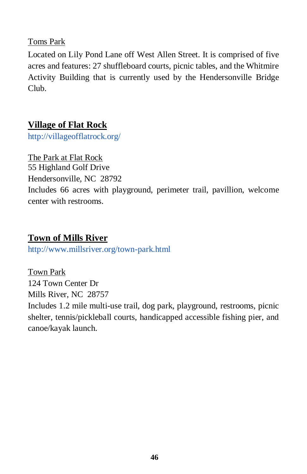Toms Park

Located on Lily Pond Lane off [West Allen Street.](http://www.google.com/maps/place/Tom%27s+Park/@35.3123229,-82.4654484,17z/data=%214m5%211m2%212m1%211sToms+Park+hendersonville+nc%213m1%211s0x8859c21712dd23c1:0x3489c84104d09e00?hl=en) It is comprised of five acres and features: 27 shuffleboard courts, picnic tables, and the Whitmire Activity Building that is currently used by the Hendersonville Bridge Club.

#### **Village of Flat Rock**

<http://villageofflatrock.org/>

The Park at Flat Rock 55 Highland Golf Drive

Hendersonville, NC 28792

Includes 66 acres with playground, perimeter trail, pavillion, welcome center with restrooms.

### **Town of Mills River**

<http://www.millsriver.org/town-park.html>

Town Park 124 Town Center Dr Mills River, NC 28757 Includes 1.2 mile multi-use trail, dog park, playground, restrooms, picnic shelter, tennis/pickleball courts, handicapped accessible fishing pier, and canoe/kayak launch.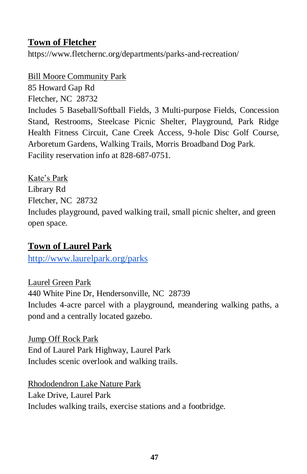#### **Town of Fletcher**

https://www.fletchernc.org/departments/parks-and-recreation/

Bill Moore Community Park

85 Howard Gap Rd

Fletcher, NC 28732

Includes 5 Baseball/Softball Fields, 3 Multi-purpose Fields, Concession Stand, Restrooms, Steelcase Picnic Shelter, Playground, Park Ridge Health Fitness Circuit, Cane Creek Access, 9-hole Disc Golf Course, Arboretum Gardens, Walking Trails, Morris Broadband Dog Park. Facility reservation info at 828-687-0751.

Kate's Park Library Rd Fletcher, NC 28732 Includes playground, paved walking trail, small picnic shelter, and green open space.

### **Town of Laurel Park**

<http://www.laurelpark.org/parks>

Laurel Green Park 440 White Pine Dr, Hendersonville, NC 28739 Includes 4-acre parcel with a playground, meandering walking paths, a pond and a centrally located gazebo.

Jump Off Rock Park End of Laurel Park Highway, Laurel Park Includes scenic overlook and walking trails.

Rhododendron Lake Nature Park Lake Drive, Laurel Park Includes walking trails, exercise stations and a footbridge.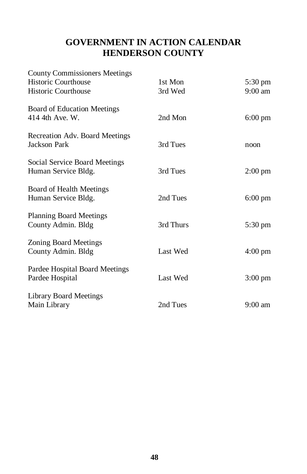#### **GOVERNMENT IN ACTION CALENDAR HENDERSON COUNTY**

| <b>County Commissioners Meetings</b><br><b>Historic Courthouse</b><br><b>Historic Courthouse</b> | 1st Mon<br>3rd Wed | 5:30 pm<br>$9:00$ am |
|--------------------------------------------------------------------------------------------------|--------------------|----------------------|
| <b>Board of Education Meetings</b><br>414 4th Ave. W.                                            | 2nd Mon            | $6:00 \text{ pm}$    |
| Recreation Adv. Board Meetings<br><b>Jackson Park</b>                                            | 3rd Tues           | noon                 |
| Social Service Board Meetings<br>Human Service Bldg.                                             | 3rd Tues           | $2:00$ pm            |
| Board of Health Meetings<br>Human Service Bldg.                                                  | 2nd Tues           | $6:00$ pm            |
| <b>Planning Board Meetings</b><br>County Admin. Bldg                                             | 3rd Thurs          | 5:30 pm              |
| <b>Zoning Board Meetings</b><br>County Admin. Bldg                                               | Last Wed           | $4:00 \text{ pm}$    |
| Pardee Hospital Board Meetings<br>Pardee Hospital                                                | Last Wed           | $3:00 \text{ pm}$    |
| <b>Library Board Meetings</b><br>Main Library                                                    | 2nd Tues           | $9:00 \text{ am}$    |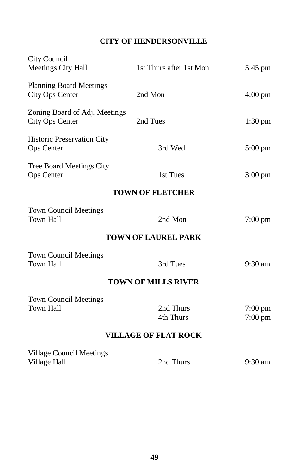#### **CITY OF HENDERSONVILLE**

| City Council<br>Meetings City Hall                | 1st Thurs after 1st Mon    | $5:45 \text{ pm}$    |  |  |  |
|---------------------------------------------------|----------------------------|----------------------|--|--|--|
| <b>Planning Board Meetings</b><br>City Ops Center | 2nd Mon                    | $4:00 \text{ pm}$    |  |  |  |
| Zoning Board of Adj. Meetings<br>City Ops Center  | 2nd Tues                   | $1:30 \text{ pm}$    |  |  |  |
| Historic Preservation City<br>Ops Center          | 3rd Wed                    | $5:00 \text{ pm}$    |  |  |  |
| Tree Board Meetings City<br>Ops Center            | 1st Tues                   | $3:00 \text{ pm}$    |  |  |  |
|                                                   | <b>TOWN OF FLETCHER</b>    |                      |  |  |  |
| <b>Town Council Meetings</b><br>Town Hall         | 2nd Mon                    | $7:00 \text{ pm}$    |  |  |  |
| <b>TOWN OF LAUREL PARK</b>                        |                            |                      |  |  |  |
| <b>Town Council Meetings</b><br>Town Hall         | 3rd Tues                   | $9:30$ am            |  |  |  |
|                                                   | <b>TOWN OF MILLS RIVER</b> |                      |  |  |  |
| <b>Town Council Meetings</b><br>Town Hall         | 2nd Thurs<br>4th Thurs     | 7:00 pm<br>$7:00$ pm |  |  |  |
| <b>VILLAGE OF FLAT ROCK</b>                       |                            |                      |  |  |  |
| Village Council Meetings<br>Village Hall          | 2nd Thurs                  | $9:30$ am            |  |  |  |